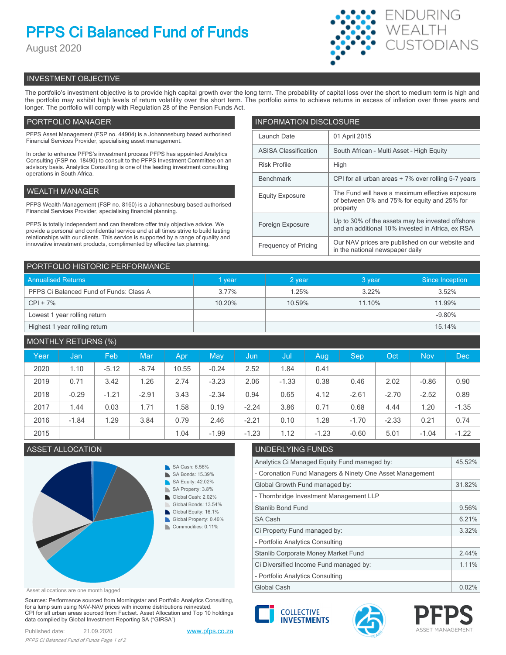# **PFPS Ci Balanced Fund of Funds**

August 2020



## INVESTMENT OBJECTIVE

The portfolio's investment objective is to provide high capital growth over the long term. The probability of capital loss over the short to medium term is high and the portfolio may exhibit high levels of return volatility over the short term. The portfolio aims to achieve returns in excess of inflation over three years and longer. The portfolio will comply with Regulation 28 of the Pension Funds Act.

## PORTFOLIO MANAGER

PFPS Asset Management (FSP no. 44904) is a Johannesburg based authorised Financial Services Provider, specialising asset management.

In order to enhance PFPS's investment process PFPS has appointed Analytics Consulting (FSP no. 18490) to consult to the PFPS Investment Committee on an advisory basis. Analytics Consulting is one of the leading investment consulting operations in South Africa.

## WEALTH MANAGER

PFPS Wealth Management (FSP no. 8160) is a Johannesburg based authorised Financial Services Provider, specialising financial planning.

PFPS is totally independent and can therefore offer truly objective advice. We provide a personal and confidential service and at all times strive to build lasting relationships with our clients. This service is supported by a range of quality and innovative investment products, complimented by effective tax planning.

| <b>INFORMATION DISCLOSURE</b> |                                                                                                             |  |  |  |
|-------------------------------|-------------------------------------------------------------------------------------------------------------|--|--|--|
| Launch Date                   | 01 April 2015                                                                                               |  |  |  |
| <b>ASISA Classification</b>   | South African - Multi Asset - High Equity                                                                   |  |  |  |
| <b>Risk Profile</b>           | High                                                                                                        |  |  |  |
| <b>Benchmark</b>              | CPI for all urban areas + 7% over rolling 5-7 years                                                         |  |  |  |
| <b>Equity Exposure</b>        | The Fund will have a maximum effective exposure<br>of between 0% and 75% for equity and 25% for<br>property |  |  |  |
| Foreign Exposure              | Up to 30% of the assets may be invested offshore<br>and an additional 10% invested in Africa, ex RSA        |  |  |  |
| <b>Frequency of Pricing</b>   | Our NAV prices are published on our website and<br>in the national newspaper daily                          |  |  |  |

| PORTFOLIO HISTORIC PERFORMANCE          |          |        |        |                 |  |  |
|-----------------------------------------|----------|--------|--------|-----------------|--|--|
| <b>Annualised Returns</b>               | vear     | 2 year | 3 year | Since Inception |  |  |
| PFPS Ci Balanced Fund of Funds: Class A | $3.77\%$ | 1.25%  | 3.22%  | 3.52%           |  |  |
| $CPI + 7\%$                             | 10.20%   | 10.59% | 11.10% | 11.99%          |  |  |
| Lowest 1 year rolling return            |          |        |        | $-9.80%$        |  |  |
| Highest 1 year rolling return           |          |        |        | 15.14%          |  |  |

| <b>MONTHLY RETURNS (%)</b> |         |         |         |       |         |         |         |         |            |         |            |            |
|----------------------------|---------|---------|---------|-------|---------|---------|---------|---------|------------|---------|------------|------------|
| Year                       | Jan     | Feb     | Mar     | Apr   | May     | Jun     | Jul     | Aug     | <b>Sep</b> | Oct     | <b>Nov</b> | <b>Dec</b> |
| 2020                       | 1.10    | $-5.12$ | $-8.74$ | 10.55 | $-0.24$ | 2.52    | 1.84    | 0.41    |            |         |            |            |
| 2019                       | 0.71    | 3.42    | 1.26    | 2.74  | $-3.23$ | 2.06    | $-1.33$ | 0.38    | 0.46       | 2.02    | $-0.86$    | 0.90       |
| 2018                       | $-0.29$ | $-1.21$ | $-2.91$ | 3.43  | $-2.34$ | 0.94    | 0.65    | 4.12    | $-2.61$    | $-2.70$ | $-2.52$    | 0.89       |
| 2017                       | 1.44    | 0.03    | 1.71    | 1.58  | 0.19    | $-2.24$ | 3.86    | 0.71    | 0.68       | 4.44    | 1.20       | $-1.35$    |
| 2016                       | $-1.84$ | 1.29    | 3.84    | 0.79  | 2.46    | $-2.21$ | 0.10    | 1.28    | $-1.70$    | $-2.33$ | 0.21       | 0.74       |
| 2015                       |         |         |         | 1.04  | $-1.99$ | $-1.23$ | 1.12    | $-1.23$ | $-0.60$    | 5.01    | $-1.04$    | $-1.22$    |

## ASSET ALLOCATION UNDERLYING FUNDS



| Analytics Ci Managed Equity Fund managed by:             |       |  |  |
|----------------------------------------------------------|-------|--|--|
| - Coronation Fund Managers & Ninety One Asset Management |       |  |  |
| Global Growth Fund managed by:                           |       |  |  |
| - Thornbridge Investment Management LLP                  |       |  |  |
| <b>Stanlib Bond Fund</b>                                 |       |  |  |
| SA Cash                                                  | 6.21% |  |  |
| Ci Property Fund managed by:                             |       |  |  |
| - Portfolio Analytics Consulting                         |       |  |  |
| Stanlib Corporate Money Market Fund                      |       |  |  |
| Ci Diversified Income Fund managed by:                   |       |  |  |
| - Portfolio Analytics Consulting                         |       |  |  |
| Global Cash                                              |       |  |  |

Asset allocations are one month lagged

Sources: Performance sourced from Morningstar and Portfolio Analytics Consulting, for a lump sum using NAV-NAV prices with income distributions reinvested. CPI for all urban areas sourced from Factset. Asset Allocation and Top 10 holdings data compiled by Global Investment Reporting SA ("GIRSA")

Published date: 21.09.2020 [www.pfps.co.za](https://www.pfps.co.za/) *PFPS Ci Balanced Fund of Funds Page 1 of 2*